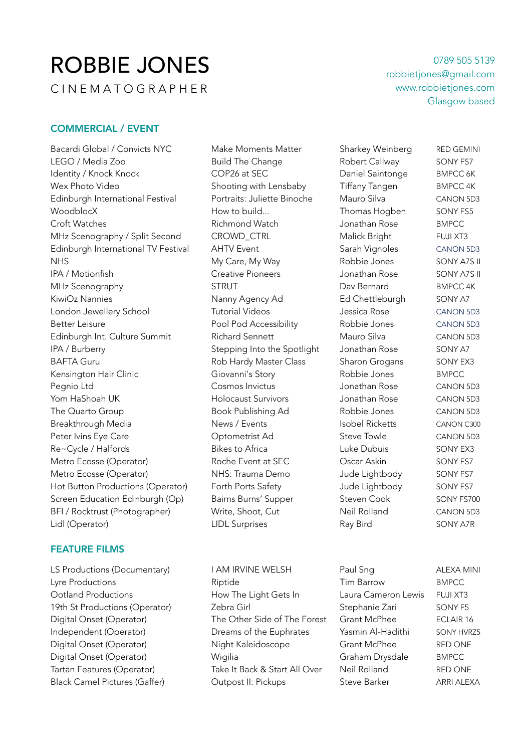# ROBBIE JONES

C I N E M A T O G R A P H E R

0789 505 5139 robbietjones@gmail.com www.robbietjones.com Glasgow based

## COMMERCIAL / EVENT

Bacardi Global / Convicts NYC Make Moments Matter Sharkey Weinberg RED GEMINI LEGO / Media Zoo The Ruild The Change The Robert Callway SONY FS7 Identity / Knock Knock **COP26** at SEC Daniel Saintonge BMPCC 6K Wex Photo Video Shooting with Lensbaby Tiffany Tangen BMPCC 4K Edinburgh International Festival Portraits: Juliette Binoche Mauro Silva CANON 5D3 WoodblocX How to build... Thomas Hogben SONY FS5 Croft Watches **Richmond Watch Match Croft Watch BMPCC** MHz Scenography / Split Second CROWD\_CTRL Malick Bright FUJI XT3 Edinburgh International TV Festival AHTV Event Sarah Vignoles CANON 5D3 NHS My Care, My Way Robbie Jones SONY A7S II IPA / Motionfish Creative Pioneers Jonathan Rose SONY A7S II MHz Scenography STRUT Dav Bernard BMPCC 4K KiwiOz Nannies **Nanny Agency Ad** Ed Chettleburgh SONY A7 London Jewellery School Tutorial Videos Jessica Rose CANON 5D3 Better Leisure Pool Pod Accessibility Robbie Jones CANON 5D3 Edinburgh Int. Culture Summit Richard Sennett Mauro Silva CANON 5D3 IPA / Burberry Stepping Into the Spotlight Jonathan Rose SONY A7 BAFTA Guru **Sharet Baraba Baraba Sharon Grogans** SONY EX3 Kensington Hair Clinic **Giovanni's Story Communis Story** Robbie Jones BMPCC Pegnio Ltd Cosmos Invictus Jonathan Rose CANON 5D3 Yom HaShoah UK Holocaust Survivors Jonathan Rose CANON 5D3 The Quarto Group **Book Publishing Ad** Robbie Jones CANON 5D3 Breakthrough Media **News / Events** Isobel Ricketts CANON C300 Peter Ivins Eye Care Care Contometrist Ad Steve Towle CANON 5D3 Re~Cycle / Halfords The South Bikes to Africa The Luke Dubuis CONY EX3 Metro Ecosse (Operator) **Roche Event at SEC** Oscar Askin SONY FS7 Metro Ecosse (Operator) 
<br>
MHS: Trauma Demo

Uude Lightbody

SONY FS7 Hot Button Productions (Operator) Forth Ports Safety Form Jude Lightbody SONY FS7 Screen Education Edinburgh (Op) Bairns Burns' Supper Steven Cook SONY FS700 BFI / Rocktrust (Photographer) Write, Shoot, Cut Neil Rolland CANON 5D3 Lidl (Operator) LIDL Surprises Ray Bird SONY A7R

## FEATURE FILMS

LS Productions (Documentary) TAM IRVINE WELSH Paul Sng The ALEXA MINI Lyre Productions Riptide Tim Barrow BMPCC Ootland Productions How The Light Gets In Laura Cameron Lewis FUJI XT3 19th St Productions (Operator) and Zebra Girl Stephanie Zari SONY F5 Digital Onset (Operator) The Other Side of The Forest Grant McPhee ECLAIR 16 Independent (Operator) Dreams of the Euphrates Yasmin Al-Hadithi SONY HVRZ5 Digital Onset (Operator) Night Kaleidoscope Grant McPhee RED ONE Digital Onset (Operator) Wigilia Graham Drysdale BMPCC Tartan Features (Operator) Take It Back & Start All Over Neil Rolland RED ONE Black Camel Pictures (Gaffer) (Cutpost II: Pickups Steve Barker ARRI ALEXA